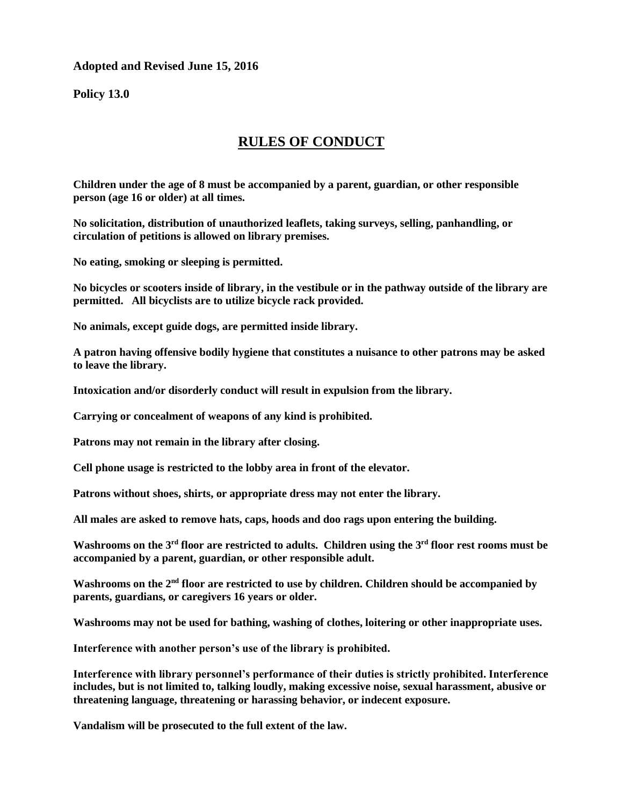## **Adopted and Revised June 15, 2016**

**Policy 13.0**

## **RULES OF CONDUCT**

**Children under the age of 8 must be accompanied by a parent, guardian, or other responsible person (age 16 or older) at all times.**

**No solicitation, distribution of unauthorized leaflets, taking surveys, selling, panhandling, or circulation of petitions is allowed on library premises.**

**No eating, smoking or sleeping is permitted.**

**No bicycles or scooters inside of library, in the vestibule or in the pathway outside of the library are permitted. All bicyclists are to utilize bicycle rack provided.** 

**No animals, except guide dogs, are permitted inside library.**

**A patron having offensive bodily hygiene that constitutes a nuisance to other patrons may be asked to leave the library.**

**Intoxication and/or disorderly conduct will result in expulsion from the library.**

**Carrying or concealment of weapons of any kind is prohibited.**

**Patrons may not remain in the library after closing.**

**Cell phone usage is restricted to the lobby area in front of the elevator.**

**Patrons without shoes, shirts, or appropriate dress may not enter the library.**

**All males are asked to remove hats, caps, hoods and doo rags upon entering the building.**

**Washrooms on the 3rd floor are restricted to adults. Children using the 3 rd floor rest rooms must be accompanied by a parent, guardian, or other responsible adult.**

**Washrooms on the 2nd floor are restricted to use by children. Children should be accompanied by parents, guardians, or caregivers 16 years or older.**

**Washrooms may not be used for bathing, washing of clothes, loitering or other inappropriate uses.**

**Interference with another person's use of the library is prohibited.** 

**Interference with library personnel's performance of their duties is strictly prohibited. Interference includes, but is not limited to, talking loudly, making excessive noise, sexual harassment, abusive or threatening language, threatening or harassing behavior, or indecent exposure.**

**Vandalism will be prosecuted to the full extent of the law.**